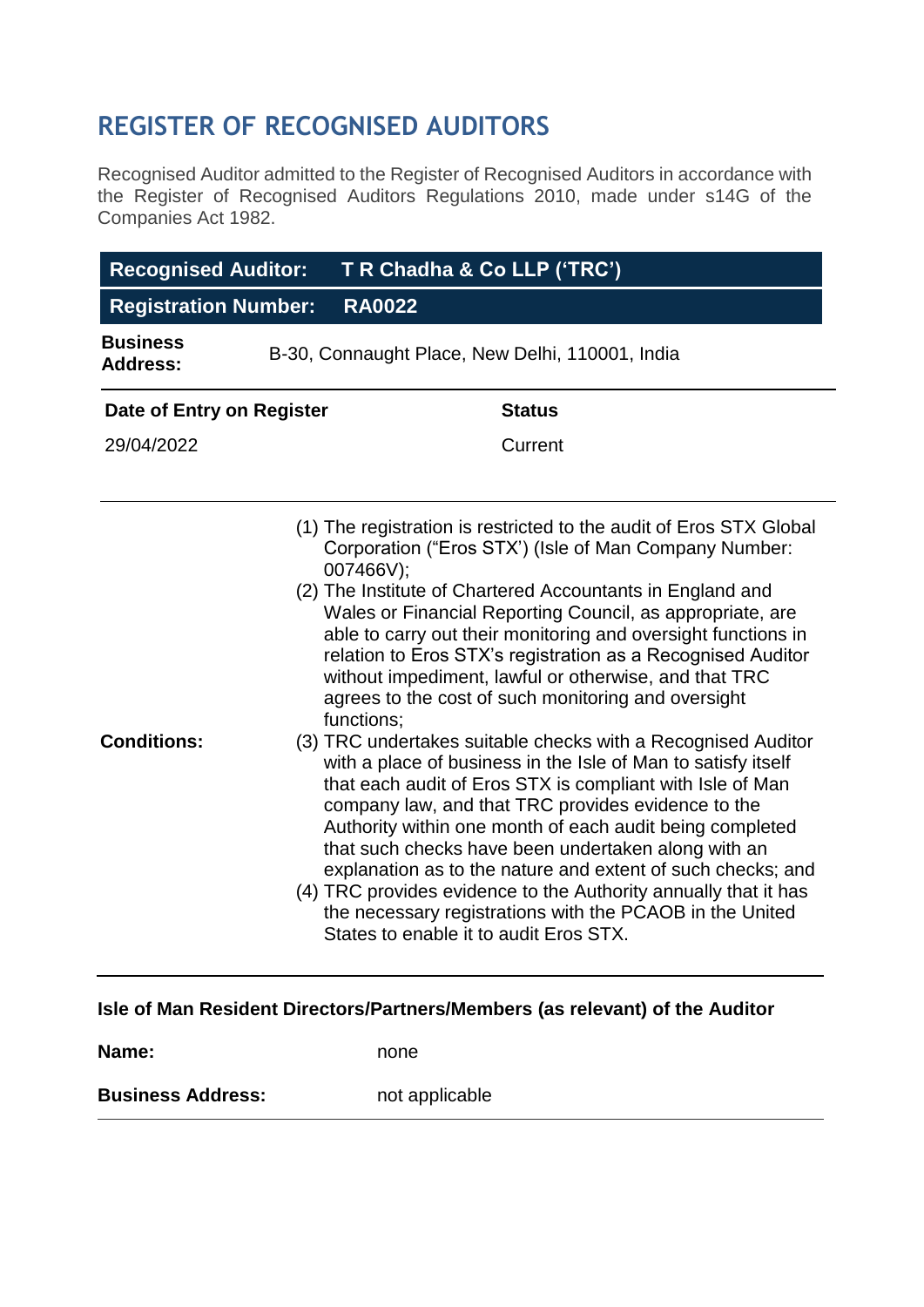## **REGISTER OF RECOGNISED AUDITORS**

Recognised Auditor admitted to the Register of Recognised Auditors in accordance with the Register of Recognised Auditors Regulations 2010, made under s14G of the Companies Act 1982.

| <b>Recognised Auditor:</b>                                                   | T R Chadha & Co LLP ('TRC')                                                                                                                                                                                                                                                                                                                                                                                                                                                                                                                                                                                                                                                                                                                                                                                                                                                                                                                                                                                                                                                                                                                     |  |  |
|------------------------------------------------------------------------------|-------------------------------------------------------------------------------------------------------------------------------------------------------------------------------------------------------------------------------------------------------------------------------------------------------------------------------------------------------------------------------------------------------------------------------------------------------------------------------------------------------------------------------------------------------------------------------------------------------------------------------------------------------------------------------------------------------------------------------------------------------------------------------------------------------------------------------------------------------------------------------------------------------------------------------------------------------------------------------------------------------------------------------------------------------------------------------------------------------------------------------------------------|--|--|
| <b>Registration Number:</b>                                                  | <b>RA0022</b>                                                                                                                                                                                                                                                                                                                                                                                                                                                                                                                                                                                                                                                                                                                                                                                                                                                                                                                                                                                                                                                                                                                                   |  |  |
| <b>Business</b><br><b>Address:</b>                                           | B-30, Connaught Place, New Delhi, 110001, India                                                                                                                                                                                                                                                                                                                                                                                                                                                                                                                                                                                                                                                                                                                                                                                                                                                                                                                                                                                                                                                                                                 |  |  |
| Date of Entry on Register                                                    | <b>Status</b>                                                                                                                                                                                                                                                                                                                                                                                                                                                                                                                                                                                                                                                                                                                                                                                                                                                                                                                                                                                                                                                                                                                                   |  |  |
| 29/04/2022                                                                   | Current                                                                                                                                                                                                                                                                                                                                                                                                                                                                                                                                                                                                                                                                                                                                                                                                                                                                                                                                                                                                                                                                                                                                         |  |  |
| <b>Conditions:</b>                                                           | (1) The registration is restricted to the audit of Eros STX Global<br>Corporation ("Eros STX") (Isle of Man Company Number:<br>007466V);<br>(2) The Institute of Chartered Accountants in England and<br>Wales or Financial Reporting Council, as appropriate, are<br>able to carry out their monitoring and oversight functions in<br>relation to Eros STX's registration as a Recognised Auditor<br>without impediment, lawful or otherwise, and that TRC<br>agrees to the cost of such monitoring and oversight<br>functions;<br>(3) TRC undertakes suitable checks with a Recognised Auditor<br>with a place of business in the Isle of Man to satisfy itself<br>that each audit of Eros STX is compliant with Isle of Man<br>company law, and that TRC provides evidence to the<br>Authority within one month of each audit being completed<br>that such checks have been undertaken along with an<br>explanation as to the nature and extent of such checks; and<br>(4) TRC provides evidence to the Authority annually that it has<br>the necessary registrations with the PCAOB in the United<br>States to enable it to audit Eros STX. |  |  |
| Isle of Man Resident Directors/Partners/Members (as relevant) of the Auditor |                                                                                                                                                                                                                                                                                                                                                                                                                                                                                                                                                                                                                                                                                                                                                                                                                                                                                                                                                                                                                                                                                                                                                 |  |  |
| Name:                                                                        | none                                                                                                                                                                                                                                                                                                                                                                                                                                                                                                                                                                                                                                                                                                                                                                                                                                                                                                                                                                                                                                                                                                                                            |  |  |

| <b>Business Address:</b> | not applicable |
|--------------------------|----------------|
|--------------------------|----------------|